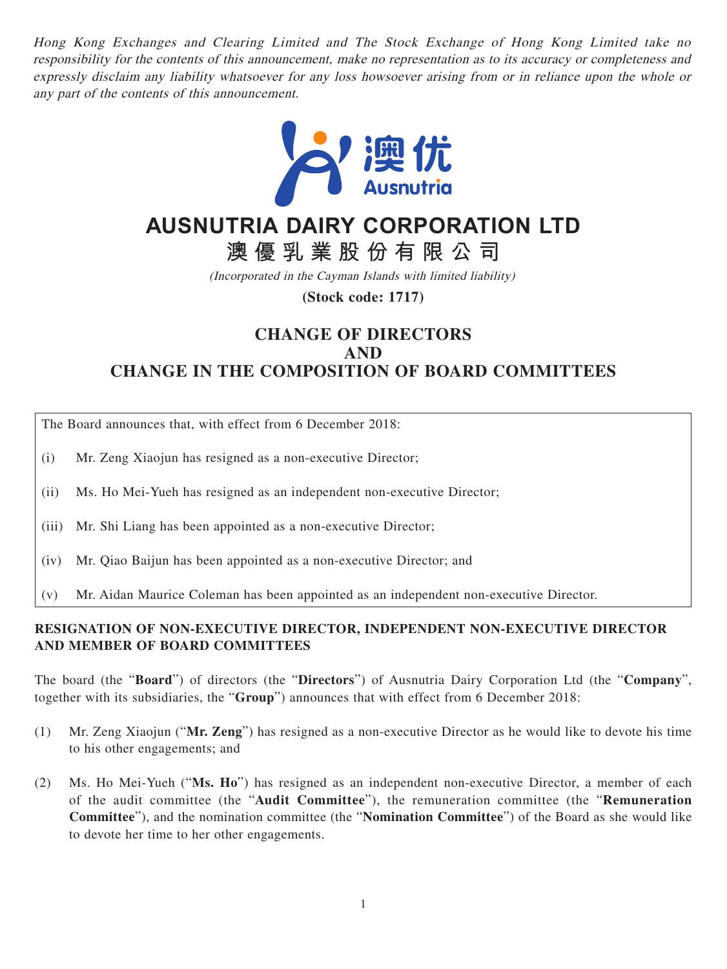Hong Kong Exchanges and Clearing Limited and The Stock Exchange of Hong Kong Limited take no responsibility for the contents of this announcement, make no representation as to its accuracy or completeness and expressly disclaim any liability whatsoever for any loss howsoever arising from or in reliance upon the whole or any part of the contents of this announcement.



## **AUSNUTRIA DAIRY CORPORATION LTD**

**澳優乳業股份有限公司**

(Incorporated in the Cayman Islands with limited liability)

**(Stock code: 1717)**

## **CHANGE OF DIRECTORS AND CHANGE IN THE COMPOSITION OF BOARD COMMITTEES**

The Board announces that, with effect from 6 December 2018:

- (i) Mr. Zeng Xiaojun has resigned as a non-executive Director;
- (ii) Ms. Ho Mei-Yueh has resigned as an independent non-executive Director;
- (iii) Mr. Shi Liang has been appointed as a non-executive Director;
- (iv) Mr. Qiao Baijun has been appointed as a non-executive Director; and
- (v) Mr. Aidan Maurice Coleman has been appointed as an independent non-executive Director.

## **RESIGNATION OF NON-EXECUTIVE DIRECTOR, INDEPENDENT NON-EXECUTIVE DIRECTOR AND MEMBER OF BOARD COMMITTEES**

The board (the "**Board**") of directors (the "**Directors**") of Ausnutria Dairy Corporation Ltd (the "**Company**", together with its subsidiaries, the "**Group**") announces that with effect from 6 December 2018:

- (1) Mr. Zeng Xiaojun ("**Mr. Zeng**") has resigned as a non-executive Director as he would like to devote his time to his other engagements; and
- (2) Ms. Ho Mei-Yueh ("**Ms. Ho**") has resigned as an independent non-executive Director, a member of each of the audit committee (the "**Audit Committee**"), the remuneration committee (the "**Remuneration Committee**"), and the nomination committee (the "**Nomination Committee**") of the Board as she would like to devote her time to her other engagements.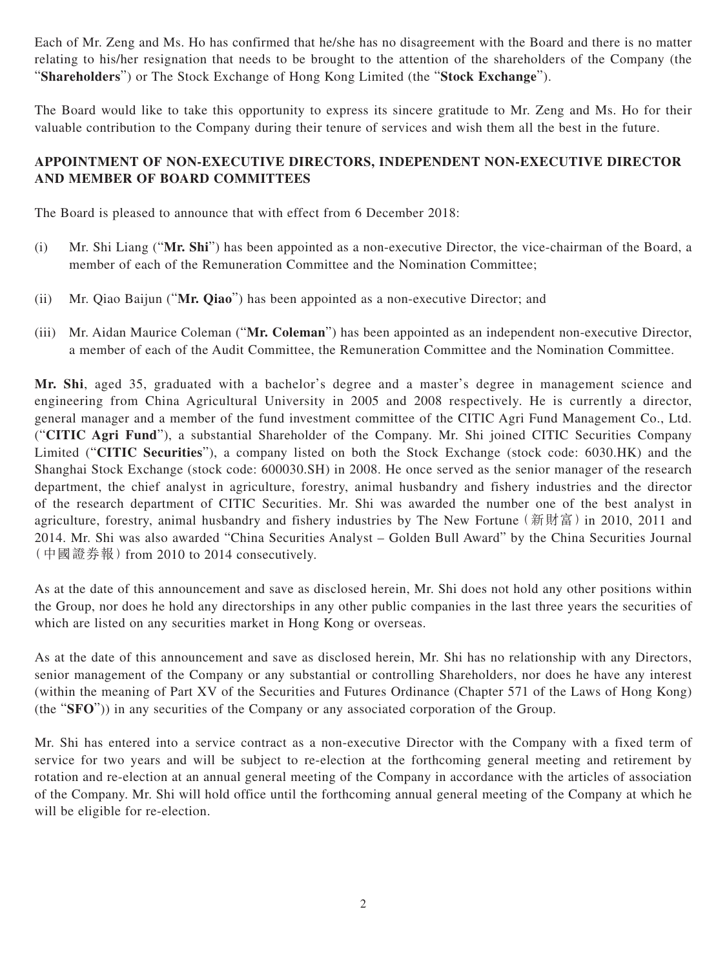Each of Mr. Zeng and Ms. Ho has confirmed that he/she has no disagreement with the Board and there is no matter relating to his/her resignation that needs to be brought to the attention of the shareholders of the Company (the "**Shareholders**") or The Stock Exchange of Hong Kong Limited (the "**Stock Exchange**").

The Board would like to take this opportunity to express its sincere gratitude to Mr. Zeng and Ms. Ho for their valuable contribution to the Company during their tenure of services and wish them all the best in the future.

## **APPOINTMENT OF NON-EXECUTIVE DIRECTORS, INDEPENDENT NON-EXECUTIVE DIRECTOR AND MEMBER OF BOARD COMMITTEES**

The Board is pleased to announce that with effect from 6 December 2018:

- (i) Mr. Shi Liang ("**Mr. Shi**") has been appointed as a non-executive Director, the vice-chairman of the Board, a member of each of the Remuneration Committee and the Nomination Committee;
- (ii) Mr. Qiao Baijun ("**Mr. Qiao**") has been appointed as a non-executive Director; and
- (iii) Mr. Aidan Maurice Coleman ("**Mr. Coleman**") has been appointed as an independent non-executive Director, a member of each of the Audit Committee, the Remuneration Committee and the Nomination Committee.

**Mr. Shi**, aged 35, graduated with a bachelor's degree and a master's degree in management science and engineering from China Agricultural University in 2005 and 2008 respectively. He is currently a director, general manager and a member of the fund investment committee of the CITIC Agri Fund Management Co., Ltd. ("**CITIC Agri Fund**"), a substantial Shareholder of the Company. Mr. Shi joined CITIC Securities Company Limited ("**CITIC Securities**"), a company listed on both the Stock Exchange (stock code: 6030.HK) and the Shanghai Stock Exchange (stock code: 600030.SH) in 2008. He once served as the senior manager of the research department, the chief analyst in agriculture, forestry, animal husbandry and fishery industries and the director of the research department of CITIC Securities. Mr. Shi was awarded the number one of the best analyst in agriculture, forestry, animal husbandry and fishery industries by The New Fortune (新財富) in 2010, 2011 and 2014. Mr. Shi was also awarded "China Securities Analyst – Golden Bull Award" by the China Securities Journal (中國證券報)from 2010 to 2014 consecutively.

As at the date of this announcement and save as disclosed herein, Mr. Shi does not hold any other positions within the Group, nor does he hold any directorships in any other public companies in the last three years the securities of which are listed on any securities market in Hong Kong or overseas.

As at the date of this announcement and save as disclosed herein, Mr. Shi has no relationship with any Directors, senior management of the Company or any substantial or controlling Shareholders, nor does he have any interest (within the meaning of Part XV of the Securities and Futures Ordinance (Chapter 571 of the Laws of Hong Kong) (the "**SFO**")) in any securities of the Company or any associated corporation of the Group.

Mr. Shi has entered into a service contract as a non-executive Director with the Company with a fixed term of service for two years and will be subject to re-election at the forthcoming general meeting and retirement by rotation and re-election at an annual general meeting of the Company in accordance with the articles of association of the Company. Mr. Shi will hold office until the forthcoming annual general meeting of the Company at which he will be eligible for re-election.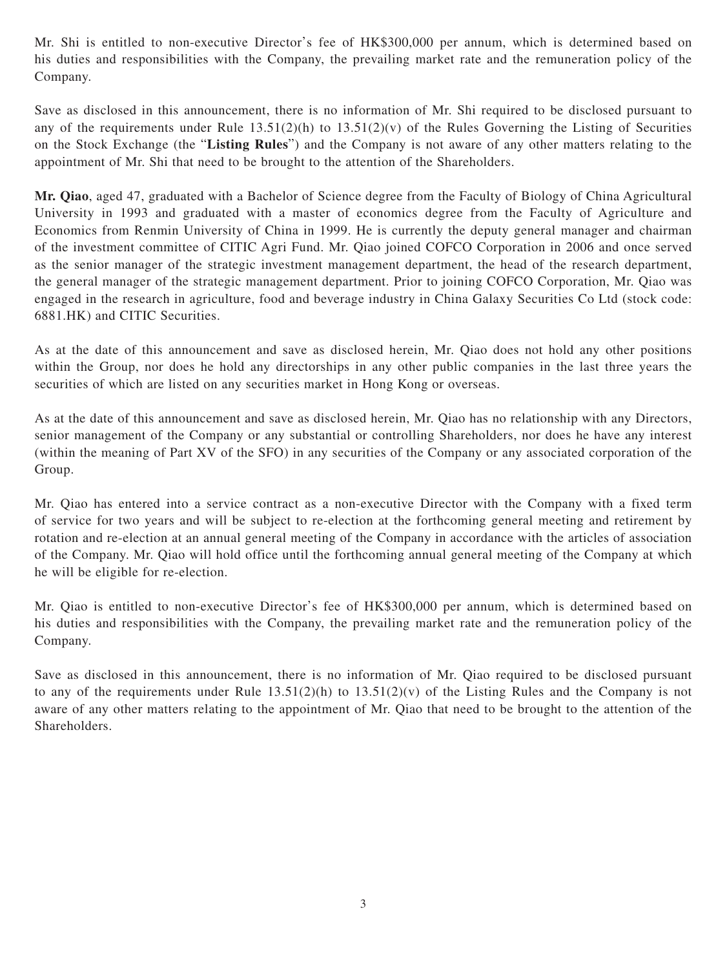Mr. Shi is entitled to non-executive Director's fee of HK\$300,000 per annum, which is determined based on his duties and responsibilities with the Company, the prevailing market rate and the remuneration policy of the Company.

Save as disclosed in this announcement, there is no information of Mr. Shi required to be disclosed pursuant to any of the requirements under Rule  $13.51(2)(h)$  to  $13.51(2)(v)$  of the Rules Governing the Listing of Securities on the Stock Exchange (the "**Listing Rules**") and the Company is not aware of any other matters relating to the appointment of Mr. Shi that need to be brought to the attention of the Shareholders.

**Mr. Qiao**, aged 47, graduated with a Bachelor of Science degree from the Faculty of Biology of China Agricultural University in 1993 and graduated with a master of economics degree from the Faculty of Agriculture and Economics from Renmin University of China in 1999. He is currently the deputy general manager and chairman of the investment committee of CITIC Agri Fund. Mr. Qiao joined COFCO Corporation in 2006 and once served as the senior manager of the strategic investment management department, the head of the research department, the general manager of the strategic management department. Prior to joining COFCO Corporation, Mr. Qiao was engaged in the research in agriculture, food and beverage industry in China Galaxy Securities Co Ltd (stock code: 6881.HK) and CITIC Securities.

As at the date of this announcement and save as disclosed herein, Mr. Qiao does not hold any other positions within the Group, nor does he hold any directorships in any other public companies in the last three years the securities of which are listed on any securities market in Hong Kong or overseas.

As at the date of this announcement and save as disclosed herein, Mr. Qiao has no relationship with any Directors, senior management of the Company or any substantial or controlling Shareholders, nor does he have any interest (within the meaning of Part XV of the SFO) in any securities of the Company or any associated corporation of the Group.

Mr. Qiao has entered into a service contract as a non-executive Director with the Company with a fixed term of service for two years and will be subject to re-election at the forthcoming general meeting and retirement by rotation and re-election at an annual general meeting of the Company in accordance with the articles of association of the Company. Mr. Qiao will hold office until the forthcoming annual general meeting of the Company at which he will be eligible for re-election.

Mr. Qiao is entitled to non-executive Director's fee of HK\$300,000 per annum, which is determined based on his duties and responsibilities with the Company, the prevailing market rate and the remuneration policy of the Company.

Save as disclosed in this announcement, there is no information of Mr. Qiao required to be disclosed pursuant to any of the requirements under Rule  $13.51(2)(h)$  to  $13.51(2)(v)$  of the Listing Rules and the Company is not aware of any other matters relating to the appointment of Mr. Qiao that need to be brought to the attention of the Shareholders.